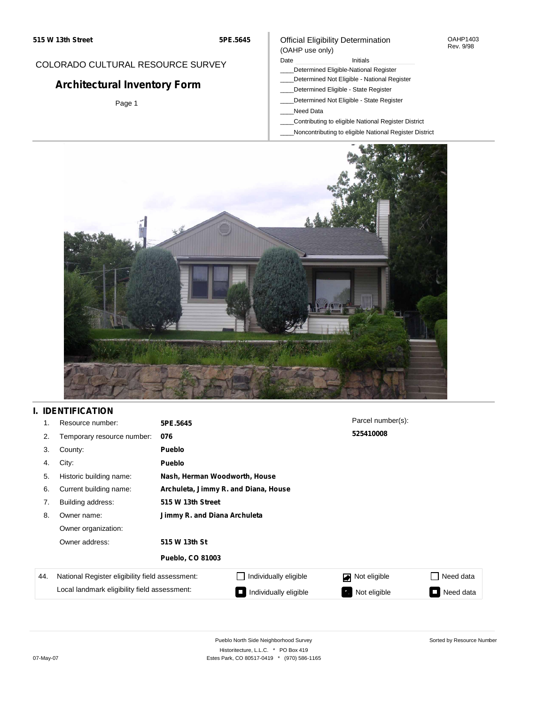#### OAHP1403 Rev. 9/98

### COLORADO CULTURAL RESOURCE SURVEY

# **Architectural Inventory Form**

Page 1

# (OAHP use only)

Official Eligibility Determination

- Date **Initials** Initials
- \_\_\_\_Determined Eligible-National Register
- \_\_\_\_Determined Not Eligible National Register \_\_\_\_Determined Eligible - State Register
- \_\_\_\_Determined Not Eligible State Register
- \_\_\_\_Need Data
- \_\_\_\_Contributing to eligible National Register District
- \_\_\_\_Noncontributing to eligible National Register District



## **I. IDENTIFICATION**

| 1.  | Resource number:                                | 5PE.5645                     |                                      | Parcel number(s):  |                        |  |
|-----|-------------------------------------------------|------------------------------|--------------------------------------|--------------------|------------------------|--|
| 2.  | Temporary resource number:                      | 076                          |                                      | 525410008          |                        |  |
| 3.  | County:                                         | Pueblo                       |                                      |                    |                        |  |
| 4.  | City:                                           | Pueblo                       |                                      |                    |                        |  |
| 5.  | Historic building name:                         |                              | Nash, Herman Woodworth, House        |                    |                        |  |
| 6.  | Current building name:                          |                              | Archuleta, Jimmy R. and Diana, House |                    |                        |  |
| 7.  | Building address:                               | 515 W 13th Street            |                                      |                    |                        |  |
| 8.  | Owner name:                                     | Jimmy R. and Diana Archuleta |                                      |                    |                        |  |
|     | Owner organization:                             |                              |                                      |                    |                        |  |
|     | Owner address:                                  | 515 W 13th St                |                                      |                    |                        |  |
|     |                                                 | <b>Pueblo, CO 81003</b>      |                                      |                    |                        |  |
| 44. | National Register eligibility field assessment: |                              | Individually eligible                | Not eligible       | Need data              |  |
|     | Local landmark eligibility field assessment:    |                              | Individually eligible                | Not eligible<br>κ, | Need data<br>$\bullet$ |  |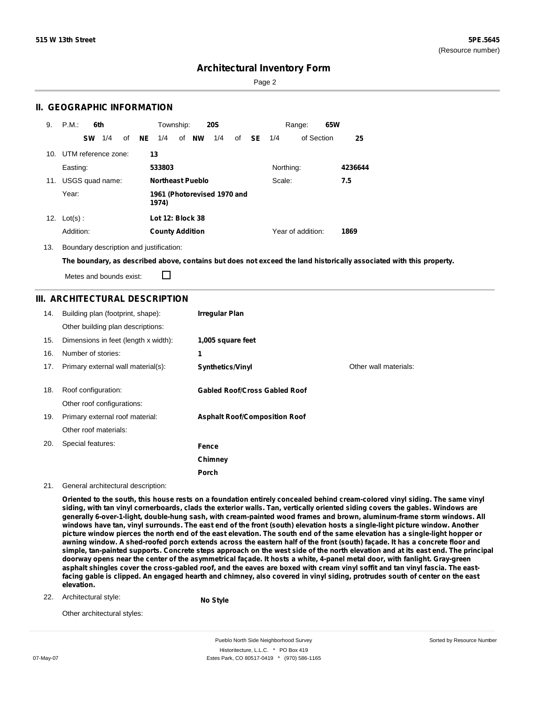Page 2

### **II. GEOGRAPHIC INFORMATION**

| 9.              | P.M.<br>6th         |           | Township:                            |              | <b>20S</b> |    |     | Range:    | 65W               |         |
|-----------------|---------------------|-----------|--------------------------------------|--------------|------------|----|-----|-----------|-------------------|---------|
|                 | 1/4<br><b>SW</b>    | NE.<br>οf | 1/4                                  | of <b>NW</b> | 1/4        | of | SE. | 1/4       | of Section        | 25      |
| 10 <sub>1</sub> | UTM reference zone: |           | 13                                   |              |            |    |     |           |                   |         |
|                 | Easting:            |           | 533803                               |              |            |    |     | Northing: |                   | 4236644 |
| 11.             | USGS quad name:     |           | <b>Northeast Pueblo</b>              |              |            |    |     | Scale:    |                   | 7.5     |
|                 | Year:               |           | 1961 (Photorevised 1970 and<br>1974) |              |            |    |     |           |                   |         |
| 12.             | $Lot(s)$ :          |           | Lot 12: Block 38                     |              |            |    |     |           |                   |         |
|                 | Addition:           |           | <b>County Addition</b>               |              |            |    |     |           | Year of addition: | 1869    |

13. Boundary description and justification:

The boundary, as described above, contains but does not exceed the land historically associated with this property.

П Metes and bounds exist:

### **III. ARCHITECTURAL DESCRIPTION**

| 14. | Building plan (footprint, shape):<br>Other building plan descriptions: | Irregular Plan                       |                       |
|-----|------------------------------------------------------------------------|--------------------------------------|-----------------------|
| 15. | Dimensions in feet (length x width):                                   | 1,005 square feet                    |                       |
| 16. | Number of stories:                                                     | 1                                    |                       |
| 17. | Primary external wall material(s):                                     | <b>Synthetics/Vinyl</b>              | Other wall materials: |
|     |                                                                        |                                      |                       |
| 18. | Roof configuration:                                                    | <b>Gabled Roof/Cross Gabled Roof</b> |                       |
|     | Other roof configurations:                                             |                                      |                       |
| 19. | Primary external roof material:                                        | <b>Asphalt Roof/Composition Roof</b> |                       |
|     | Other roof materials:                                                  |                                      |                       |
| 20. | Special features:                                                      | Fence                                |                       |
|     |                                                                        | Chimney                              |                       |
|     |                                                                        | Porch                                |                       |

21. General architectural description:

Oriented to the south, this house rests on a foundation entirely concealed behind cream-colored vinyl siding. The same vinyl siding, with tan vinyl cornerboards, clads the exterior walls. Tan, vertically oriented siding covers the gables. Windows are **generally 6-over-1-light, double-hung sash, with cream-painted wood frames and brown, aluminum-frame storm windows. All** windows have tan, vinyl surrounds. The east end of the front (south) elevation hosts a single-light picture window. Another picture window pierces the north end of the east elevation. The south end of the same elevation has a single-light hopper or awning window. A shed-roofed porch extends across the eastern half of the front (south) façade. It has a concrete floor and simple, tan-painted supports. Concrete steps approach on the west side of the north elevation and at its east end. The principal doorway opens near the center of the asymmetrical façade. It hosts a white, 4-panel metal door, with fanlight. Gray-green asphalt shingles cover the cross-gabled roof, and the eaves are boxed with cream vinyl soffit and tan vinyl fascia. The eastfacing gable is clipped. An engaged hearth and chimney, also covered in vinyl siding, protrudes south of center on the east **elevation.**

22. Architectural style:

**No Style**

Other architectural styles:

Pueblo North Side Neighborhood Survey Historitecture, L.L.C. \* PO Box 419 07-May-07 **Estes Park, CO 80517-0419** \* (970) 586-1165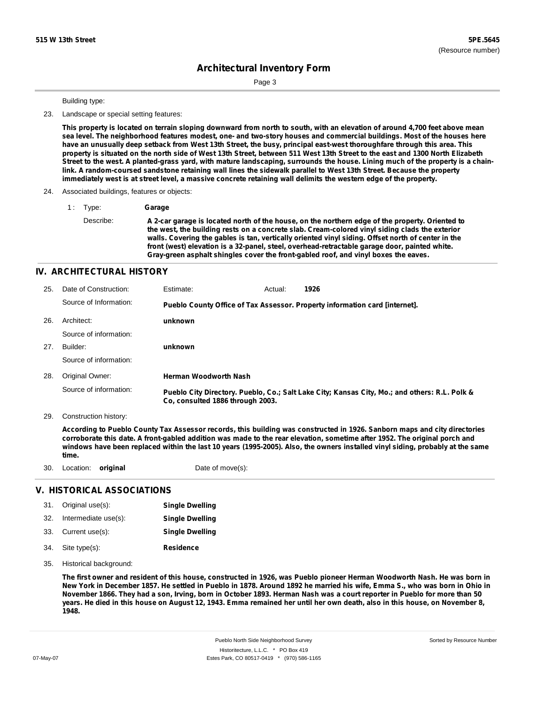Page 3

#### Building type:

23. Landscape or special setting features:

This property is located on terrain sloping downward from north to south, with an elevation of around 4,700 feet above mean sea level. The neighborhood features modest, one- and two-story houses and commercial buildings. Most of the houses here have an unusually deep setback from West 13th Street, the busy, principal east-west thoroughfare through this area. This property is situated on the north side of West 13th Street, between 511 West 13th Street to the east and 1300 North Elizabeth Street to the west. A planted-grass yard, with mature landscaping, surrounds the house. Lining much of the property is a chainlink. A random-coursed sandstone retaining wall lines the sidewalk parallel to West 13th Street. Because the property immediately west is at street level, a massive concrete retaining wall delimits the western edge of the property.

#### 24. Associated buildings, features or objects:

1 : Type: **Garage**

Describe: A 2-car garage is located north of the house, on the northern edge of the property. Oriented to **the west, the building rests on a concrete slab. Cream-colored vinyl siding clads the exterior walls. Covering the gables is tan, vertically oriented vinyl siding. Offset north of center in the front (west) elevation is a 32-panel, steel, overhead-retractable garage door, painted white. Gray-green asphalt shingles cover the front-gabled roof, and vinyl boxes the eaves.**

### **IV. ARCHITECTURAL HISTORY**

| 25. | Date of Construction:  | Estimate:                        | Actual: | 1926                                                                                          |
|-----|------------------------|----------------------------------|---------|-----------------------------------------------------------------------------------------------|
|     | Source of Information: |                                  |         | Pueblo County Office of Tax Assessor. Property information card [internet].                   |
| 26. | Architect:             | unknown                          |         |                                                                                               |
|     | Source of information: |                                  |         |                                                                                               |
| 27. | Builder:               | unknown                          |         |                                                                                               |
|     | Source of information: |                                  |         |                                                                                               |
| 28. | Original Owner:        | <b>Herman Woodworth Nash</b>     |         |                                                                                               |
|     | Source of information: | Co. consulted 1886 through 2003. |         | Pueblo City Directory. Pueblo, Co.; Salt Lake City; Kansas City, Mo.; and others: R.L. Polk & |

29. Construction history:

According to Pueblo County Tax Assessor records, this building was constructed in 1926. Sanborn maps and city directories corroborate this date. A front-gabled addition was made to the rear elevation, sometime after 1952. The original porch and windows have been replaced within the last 10 years (1995-2005). Also, the owners installed vinyl siding, probably at the same **time.**

30. Location: **original** Date of move(s):

### **V. HISTORICAL ASSOCIATIONS**

|     | 31. Original use(s):     | <b>Single Dwelling</b> |
|-----|--------------------------|------------------------|
|     | 32. Intermediate use(s): | <b>Single Dwelling</b> |
|     | 33. Current use(s):      | <b>Single Dwelling</b> |
| 34. | Site type(s):            | <b>Residence</b>       |

35. Historical background:

The first owner and resident of this house, constructed in 1926, was Pueblo pioneer Herman Woodworth Nash. He was born in New York in December 1857. He settled in Pueblo in 1878. Around 1892 he married his wife, Emma S., who was born in Ohio in November 1866. They had a son, Irving, born in October 1893. Herman Nash was a court reporter in Pueblo for more than 50 years. He died in this house on August 12, 1943. Emma remained her until her own death, also in this house, on November 8, **1948.**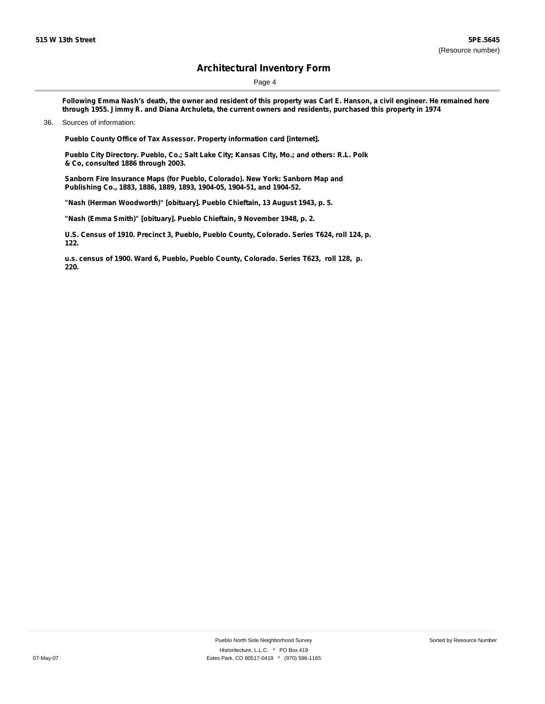Page 4

Following Emma Nash's death, the owner and resident of this property was Carl E. Hanson, a civil engineer. He remained here through 1955. Jimmy R. and Diana Archuleta, the current owners and residents, purchased this property in 1974

**Pueblo County Office of Tax Assessor. Property information card [internet].**

**Pueblo City Directory. Pueblo, Co.; Salt Lake City; Kansas City, Mo.; and others: R.L. Polk & Co, consulted 1886 through 2003.**

**Sanborn Fire Insurance Maps (for Pueblo, Colorado). New York: Sanborn Map and Publishing Co., 1883, 1886, 1889, 1893, 1904-05, 1904-51, and 1904-52.**

**"Nash (Herman Woodworth)" [obituary]. Pueblo Chieftain, 13 August 1943, p. 5.**

**"Nash (Emma Smith)" [obituary]. Pueblo Chieftain, 9 November 1948, p. 2.**

**U.S. Census of 1910. Precinct 3, Pueblo, Pueblo County, Colorado. Series T624, roll 124, p. 122.**

**u.s. census of 1900. Ward 6, Pueblo, Pueblo County, Colorado. Series T623, roll 128, p. 220.**

<sup>36.</sup> Sources of information: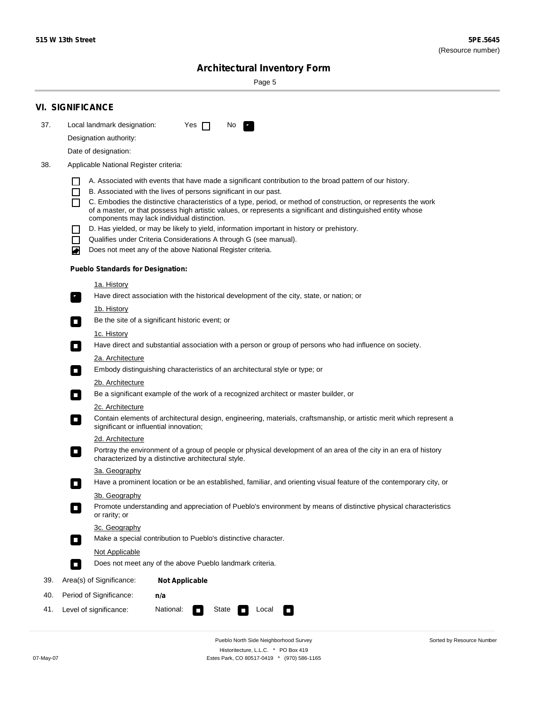Sorted by Resource Number

# **Architectural Inventory Form**

Page 5

|     | <b>VI. SIGNIFICANCE</b>                                                                                                                                                                        |  |  |  |  |  |
|-----|------------------------------------------------------------------------------------------------------------------------------------------------------------------------------------------------|--|--|--|--|--|
| 37. | Local landmark designation:<br>Yes $\Box$<br>No.<br>HE 2                                                                                                                                       |  |  |  |  |  |
|     | Designation authority:                                                                                                                                                                         |  |  |  |  |  |
|     | Date of designation:                                                                                                                                                                           |  |  |  |  |  |
| 38. | Applicable National Register criteria:                                                                                                                                                         |  |  |  |  |  |
|     |                                                                                                                                                                                                |  |  |  |  |  |
|     | A. Associated with events that have made a significant contribution to the broad pattern of our history.<br>B. Associated with the lives of persons significant in our past.<br>$\blacksquare$ |  |  |  |  |  |
|     | C. Embodies the distinctive characteristics of a type, period, or method of construction, or represents the work<br>П                                                                          |  |  |  |  |  |
|     | of a master, or that possess high artistic values, or represents a significant and distinguished entity whose<br>components may lack individual distinction.                                   |  |  |  |  |  |
|     | D. Has yielded, or may be likely to yield, information important in history or prehistory.                                                                                                     |  |  |  |  |  |
|     | Qualifies under Criteria Considerations A through G (see manual).<br>$\sim$                                                                                                                    |  |  |  |  |  |
|     | Does not meet any of the above National Register criteria.<br>₩                                                                                                                                |  |  |  |  |  |
|     | <b>Pueblo Standards for Designation:</b>                                                                                                                                                       |  |  |  |  |  |
|     | 1a. History                                                                                                                                                                                    |  |  |  |  |  |
|     | Have direct association with the historical development of the city, state, or nation; or<br>$\mathbf{r}_\perp$                                                                                |  |  |  |  |  |
|     | 1b. History                                                                                                                                                                                    |  |  |  |  |  |
|     | Be the site of a significant historic event; or<br>$\blacksquare$                                                                                                                              |  |  |  |  |  |
|     | 1c. History                                                                                                                                                                                    |  |  |  |  |  |
|     | Have direct and substantial association with a person or group of persons who had influence on society.<br>$\overline{\phantom{a}}$                                                            |  |  |  |  |  |
|     | 2a. Architecture                                                                                                                                                                               |  |  |  |  |  |
|     | Embody distinguishing characteristics of an architectural style or type; or<br>$\mathcal{L}_{\mathcal{A}}$                                                                                     |  |  |  |  |  |
|     | <u>2b. Architecture</u>                                                                                                                                                                        |  |  |  |  |  |
|     | Be a significant example of the work of a recognized architect or master builder, or<br>$\Box$                                                                                                 |  |  |  |  |  |
|     | 2c. Architecture                                                                                                                                                                               |  |  |  |  |  |
|     | Contain elements of architectural design, engineering, materials, craftsmanship, or artistic merit which represent a<br>$\Box$<br>significant or influential innovation;                       |  |  |  |  |  |
|     | 2d. Architecture                                                                                                                                                                               |  |  |  |  |  |
|     | Portray the environment of a group of people or physical development of an area of the city in an era of history<br>$\Box$<br>characterized by a distinctive architectural style.              |  |  |  |  |  |
|     | 3a. Geography                                                                                                                                                                                  |  |  |  |  |  |
|     | Have a prominent location or be an established, familiar, and orienting visual feature of the contemporary city, or                                                                            |  |  |  |  |  |
|     | 3b. Geography                                                                                                                                                                                  |  |  |  |  |  |
|     | Promote understanding and appreciation of Pueblo's environment by means of distinctive physical characteristics<br>or rarity; or                                                               |  |  |  |  |  |
|     | 3c. Geography                                                                                                                                                                                  |  |  |  |  |  |
|     | Make a special contribution to Pueblo's distinctive character.<br>$\Box$                                                                                                                       |  |  |  |  |  |
|     | <b>Not Applicable</b>                                                                                                                                                                          |  |  |  |  |  |
|     | Does not meet any of the above Pueblo landmark criteria.<br>$\overline{\phantom{a}}$                                                                                                           |  |  |  |  |  |
| 39. | Area(s) of Significance:<br><b>Not Applicable</b>                                                                                                                                              |  |  |  |  |  |
| 40. | Period of Significance:<br>n/a                                                                                                                                                                 |  |  |  |  |  |
| 41. | National:<br>Level of significance:<br>State<br>Local<br>$\sim$<br>□                                                                                                                           |  |  |  |  |  |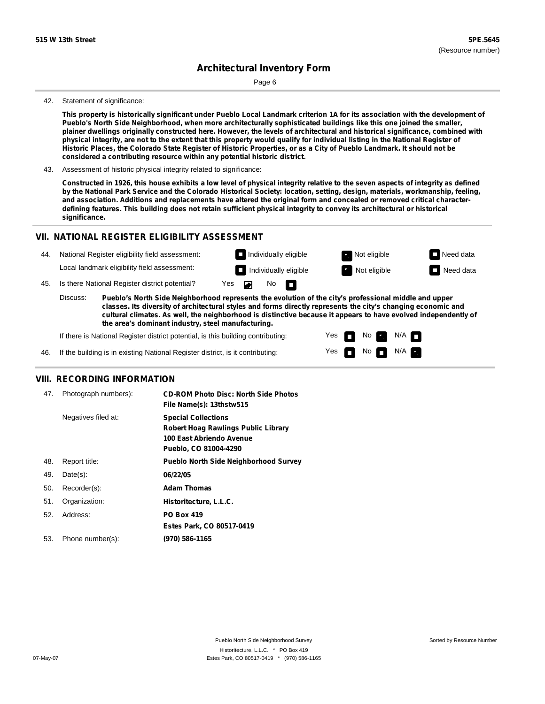Page 6

#### 42. Statement of significance:

This property is historically significant under Pueblo Local Landmark criterion 1A for its association with the development of **Pueblo's North Side Neighborhood, when more architecturally sophisticated buildings like this one joined the smaller,** plainer dwellings originally constructed here. However, the levels of architectural and historical significance, combined with physical integrity, are not to the extent that this property would qualify for individual listing in the National Register of Historic Places, the Colorado State Register of Historic Properties, or as a City of Pueblo Landmark. It should not be **considered a contributing resource within any potential historic district.**

43. Assessment of historic physical integrity related to significance:

Constructed in 1926, this house exhibits a low level of physical integrity relative to the seven aspects of integrity as defined by the National Park Service and the Colorado Historical Society: location, setting, design, materials, workmanship, feeling, and association. Additions and replacements have altered the original form and concealed or removed critical characterdefining features. This building does not retain sufficient physical integrity to convey its architectural or historical **significance.**

#### **VII. NATIONAL REGISTER ELIGIBILITY ASSESSMENT**



**classes. Its diversity of architectural styles and forms directly represents the city's changing economic and cultural climates. As well, the neighborhood is distinctive because it appears to have evolved independently of the area's dominant industry, steel manufacturing.**

> Yes Yes

n m No **Ex** 

No  $\blacksquare$  N/A  $\blacksquare$ 

 $N/A$ 

If there is National Register district potential, is this building contributing:

If the building is in existing National Register district, is it contributing: 46.

#### **VIII. RECORDING INFORMATION**

| 47. | Photograph numbers): | <b>CD-ROM Photo Disc: North Side Photos</b><br>File Name(s): 13thstw515                                                       |
|-----|----------------------|-------------------------------------------------------------------------------------------------------------------------------|
|     | Negatives filed at:  | <b>Special Collections</b><br><b>Robert Hoag Rawlings Public Library</b><br>100 East Abriendo Avenue<br>Pueblo, CO 81004-4290 |
| 48. | Report title:        | <b>Pueblo North Side Neighborhood Survey</b>                                                                                  |
| 49. | $Date(s)$ :          | 06/22/05                                                                                                                      |
| 50. | Recorder(s):         | <b>Adam Thomas</b>                                                                                                            |
| 51. | Organization:        | Historitecture, L.L.C.                                                                                                        |
| 52. | Address:             | <b>PO Box 419</b>                                                                                                             |
|     |                      | Estes Park, CO 80517-0419                                                                                                     |
| 53. | Phone number(s):     | (970) 586-1165                                                                                                                |
|     |                      |                                                                                                                               |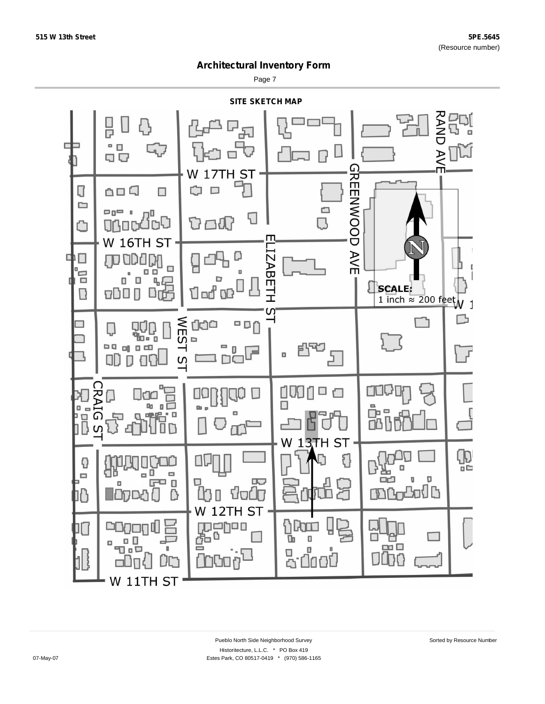Page 7